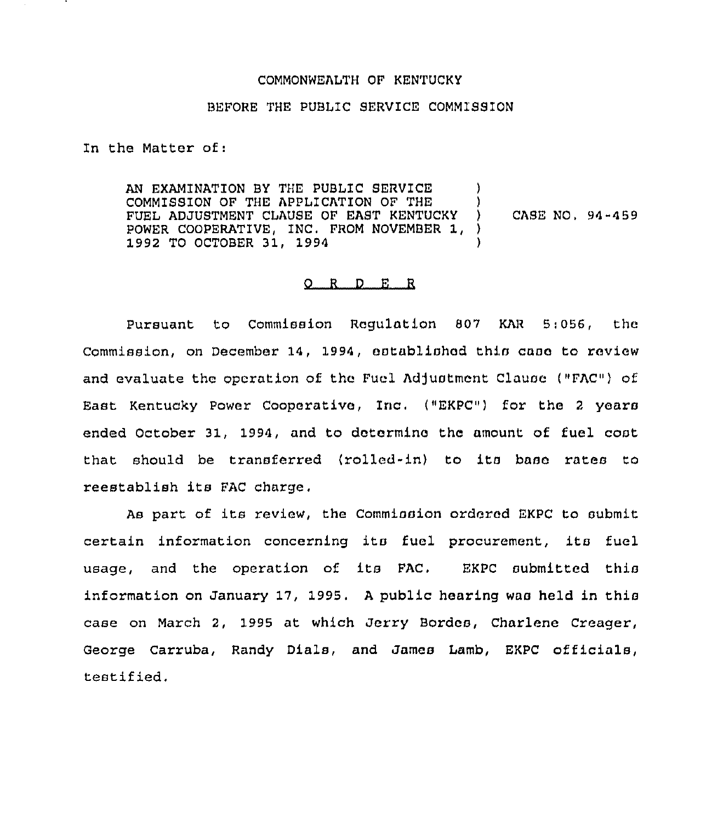## COMMONWEALTH OF KENTUCKY

## BEFORE THE PUBLIC SERVICE COMMISSION

In the Matter of:

AN EXAMINATION BY THE PUBLIC SERVICE COMMISSION OF THE APPLICATION OF THE )<br>FUEL ADJUSTMENT CLAUSE OF EAST KENTUCKY ) FUEL ADJUSTMENT CLAUSE OF EAST KENTUCKY )<br>POWER COOPERATIVE, INC. FROM NOVEMBER 1, ) POWER COOPERATIVE, INC. FROM NOVEMBER 1, 1992 TO OCTOBER 31, 1994 ) CASE NO, 94-459

## 0 <sup>R</sup> <sup>D</sup> E R

Pursuant to Commission Regulation 807 KAR 5:056, the Commission, on December 14, 1994, established this case to review and evaluate the operation of the Fuel Adjustment Clause ("FAC") of East Kentucky Power Cooperativo, Inc. ("EKPC") for the <sup>2</sup> years ended October 31., 1994, and to determine the amount of fuel cost that should be transferred (rolled-in) to its base rates to reestablish its FAC charge.

As part of its review, the Commission ordered EKPC to submit certain information concerning its fuel procurement, its fuel usage, and the operation of its FAC. EKPC submitted this information on January 17, 1995. <sup>A</sup> public hearing was held in this case on March 2, 1995 at which Jerry Bordes, Charlene Creager, George Carruba, Randy Dials, and James Lamb, EKPC officials, testified.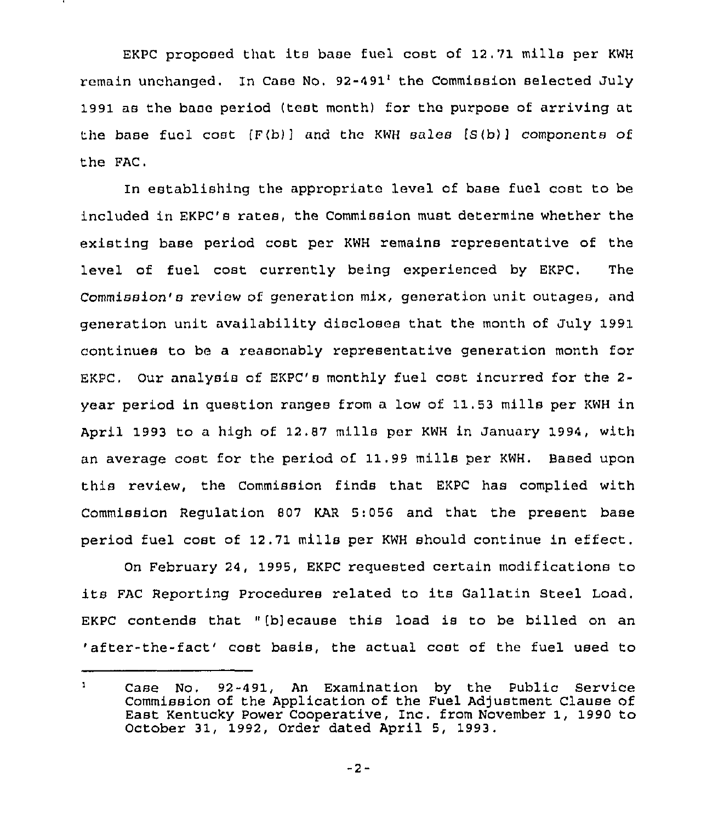EKPC proposed that its base fuel cost of 12,71 mills per KWH remain unchanged, In Case No.  $92-491$  the Commission selected July 1991 as the base period (test month) for the purpose of arriving at the base fuel cost  $\{F(b)\}$  and the KWH sales  $\{S(b)\}$  components of the FAC.

In establishing the appropriate level of base fuel cost to be included in EKPC's rates, the Commission must determine whether the existing base period cost per KWH remains representative of the level of fuel cost currently being experienced by EKPC. The Commission's review of generation mix, generation unit outages, and generation unit availability discloses that the month of July 1991 continues to be a reasonably representative generation month for EKPC, Our analysis of EKPC's monthly fuel cost incurred for the 2 year period in question ranges from a low of 11.53 mills per KWH in April 1993 to a high of 12.87 mills per KWH in January 1994, with an average cost for the period of 11.99 mills per KWH. Based upon this review, the Commission finds that EKPC has complied with Commission Regulation 807 KAR 5:056 and that the present base period fuel cost of 12.71 mills per KWH should continue in effect.

On February 24, 1995, EKPC requested certain modifications to its FAC Reporting Procedures related to its Gallatin Steel Load. EKPC contends that "[b]ecause this load is to be billed on an 'after-the-fact' cost basis, the actual cost of the fuel used to

 $\mathbf{1}$ Case No, 92-491, An Examination by the Public Service Commission of the Application of the Fuel Adjustment Clause of East Kentucky Power Cooperative, Inc. from November 1, 1990 to October 31, 1992, Order dated April 5, 1993,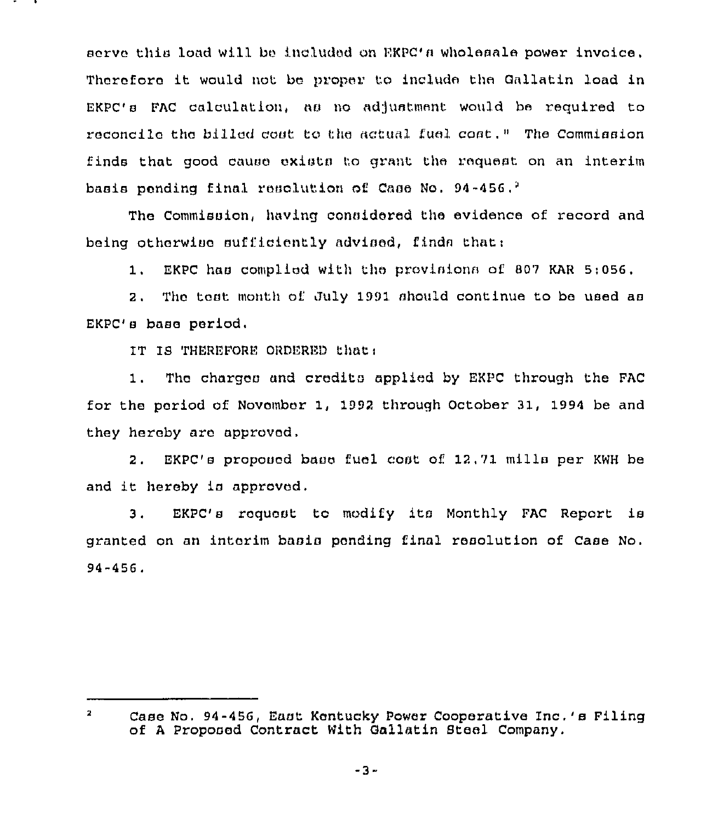serve this load will be included on EKPC's wholesale power invoice. Thorefora it would not bo proper to include the Gallatin load in  $EKPC'$  s FAC calculation, as no adjustment would be required to reconcile tho billed cost to the actual fuel cost," The Commission finds that good cause exists to grant the request on an interim basis pending final resolution of Case No. 94-456.<sup>2</sup>

The Commission, having considered the evidence of record and being otherwise sufficiently advised, finds that:

1. EKPC has complied with tho provisions of <sup>807</sup> KAR 5;056.

2. The tost month of July 1991 should continue to be used as EKPC's base period.

IT IS THEREFORE ORDERED that:

1. Tho charges and credits applied by EKPC through the FAC for the period of November 1, 1992 through October 31, 1994 be and they hereby aro approved,

2. EKPC's proposed base fuel coat of 1?.71 mills per KWH be and it hereby is approved.

3. EKPC's request to modify its Monthly FAC Report is granted on an interim basis pending final resolution of Case No. 94-456.

 $\mathbf{z}$ Case No. 94-456, East Kentucky Power Cooperative Inc.'s Filing of <sup>A</sup> Proposed Contract With Gallatin Steel Company.